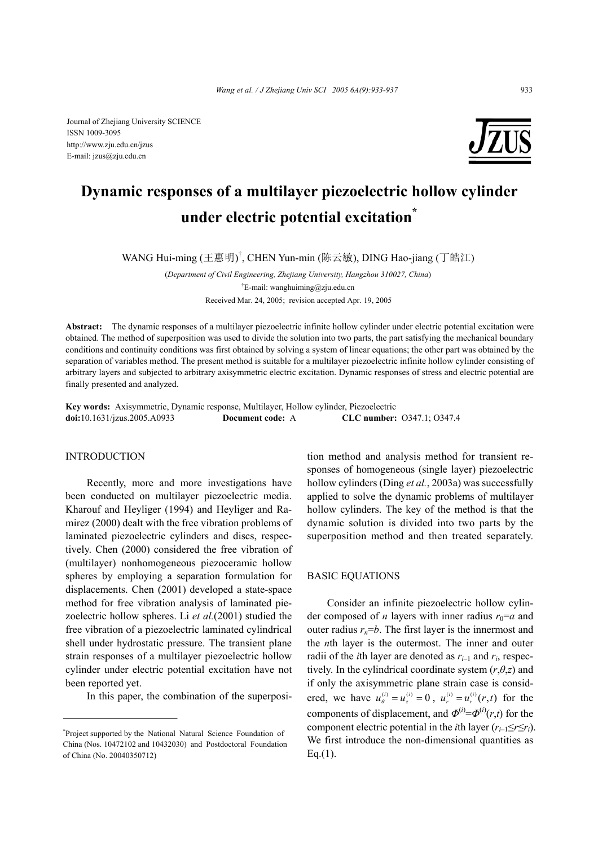

# **Dynamic responses of a multilayer piezoelectric hollow cylinder under electric potential excitation\***

WANG Hui-ming (王惠明)<sup>†</sup>, CHEN Yun-min (陈云敏), DING Hao-jiang (丁皓江)

(*Department of Civil Engineering, Zhejiang University, Hangzhou 310027, China*) † E-mail: wanghuiming@zju.edu.cn Received Mar. 24, 2005; revision accepted Apr. 19, 2005

**Abstract:** The dynamic responses of a multilayer piezoelectric infinite hollow cylinder under electric potential excitation were obtained. The method of superposition was used to divide the solution into two parts, the part satisfying the mechanical boundary conditions and continuity conditions was first obtained by solving a system of linear equations; the other part was obtained by the separation of variables method. The present method is suitable for a multilayer piezoelectric infinite hollow cylinder consisting of arbitrary layers and subjected to arbitrary axisymmetric electric excitation. Dynamic responses of stress and electric potential are finally presented and analyzed.

**Key words:** Axisymmetric, Dynamic response, Multilayer, Hollow cylinder, Piezoelectric **doi:**10.1631/jzus.2005.A0933 **Document code:** A **CLC number:** O347.1; O347.4

#### INTRODUCTION

Recently, more and more investigations have been conducted on multilayer piezoelectric media. Kharouf and Heyliger (1994) and Heyliger and Ramirez (2000) dealt with the free vibration problems of laminated piezoelectric cylinders and discs, respectively. Chen (2000) considered the free vibration of (multilayer) nonhomogeneous piezoceramic hollow spheres by employing a separation formulation for displacements. Chen (2001) developed a state-space method for free vibration analysis of laminated piezoelectric hollow spheres. Li *et al.*(2001) studied the free vibration of a piezoelectric laminated cylindrical shell under hydrostatic pressure. The transient plane strain responses of a multilayer piezoelectric hollow cylinder under electric potential excitation have not been reported yet.

In this paper, the combination of the superposi-

tion method and analysis method for transient responses of homogeneous (single layer) piezoelectric hollow cylinders (Ding *et al.*, 2003a) was successfully applied to solve the dynamic problems of multilayer hollow cylinders. The key of the method is that the dynamic solution is divided into two parts by the superposition method and then treated separately.

## BASIC EQUATIONS

Consider an infinite piezoelectric hollow cylinder composed of *n* layers with inner radius  $r_0=a$  and outer radius  $r_n = b$ . The first layer is the innermost and the *n*th layer is the outermost. The inner and outer radii of the *i*th layer are denoted as  $r_{i-1}$  and  $r_i$ , respectively. In the cylindrical coordinate system  $(r, \theta, z)$  and if only the axisymmetric plane strain case is considered, we have  $u_{\theta}^{(i)} = u_z^{(i)} = 0$ ,  $u_r^{(i)} = u_r^{(i)}(r,t)$  for the components of displacement, and  $\Phi^{(i)} = \Phi^{(i)}(r,t)$  for the component electric potential in the *i*th layer  $(r_{i-1} \leq r \leq r_i)$ . We first introduce the non-dimensional quantities as Eq.(1).

<sup>\*</sup> Project supported by the National Natural Science Foundation of China (Nos. 10472102 and 10432030) and Postdoctoral Foundation of China (No. 20040350712)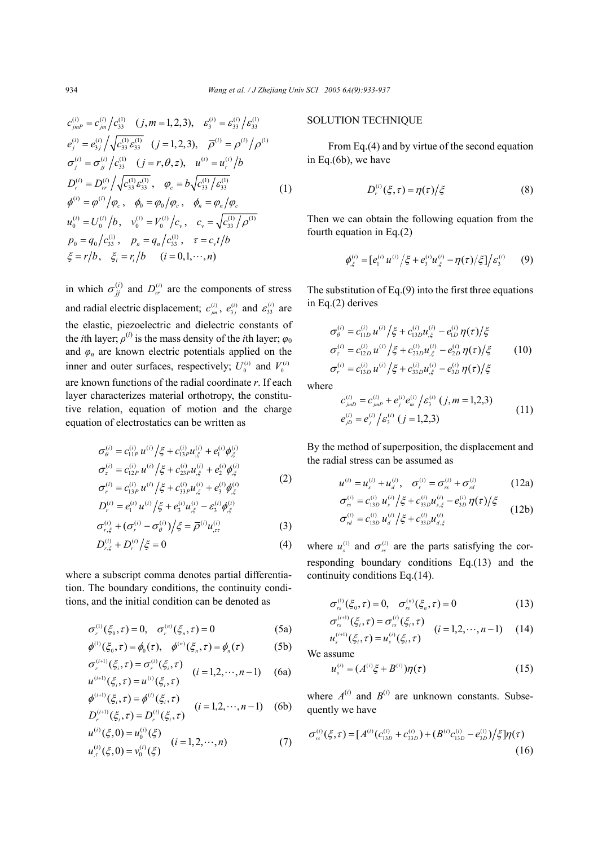$$
c_{jmp}^{(i)} = c_{jm}^{(i)}/c_{33}^{(1)} \quad (j, m = 1, 2, 3), \quad \varepsilon_3^{(i)} = \varepsilon_{33}^{(i)}/\varepsilon_{33}^{(1)}
$$
  
\n
$$
e_j^{(i)} = e_{3j}^{(i)}/\sqrt{c_{33}^{(1)} \varepsilon_{33}^{(1)}} \quad (j = 1, 2, 3), \quad \overline{\rho}^{(i)} = \rho^{(i)}/\rho^{(1)}
$$
  
\n
$$
\sigma_j^{(i)} = \sigma_{jj}^{(i)}/c_{33}^{(1)} \quad (j = r, \theta, z), \quad u^{(i)} = u_r^{(i)}/b
$$
  
\n
$$
D_r^{(i)} = D_{rr}^{(i)}/\sqrt{c_{33}^{(1)} \varepsilon_{33}^{(1)}}, \quad \varphi_c = b\sqrt{c_{33}^{(1)}/\varepsilon_{33}^{(1)}}
$$
  
\n
$$
\phi^{(i)} = \varphi^{(i)}/\varphi_c, \quad \phi_0 = \varphi_0/\varphi_c, \quad \phi_n = \varphi_n/\varphi_c
$$
  
\n
$$
u_0^{(i)} = U_0^{(i)}/b, \quad v_0^{(i)} = V_0^{(i)}/c_v, \quad c_v = \sqrt{c_{33}^{(1)}/\rho^{(1)}}
$$
  
\n
$$
p_0 = q_0/c_{33}^{(1)}, \quad p_n = q_n/c_{33}^{(1)}, \quad \tau = c_v t/b
$$
  
\n
$$
\xi = r/b, \quad \xi_i = r_i/b \quad (i = 0, 1, \dots, n)
$$

in which  $\sigma_{ji}^{(i)}$  and  $D_{rr}^{(i)}$  are the components of stress and radial electric displacement;  $c_{jm}^{(i)}$ ,  $e_{3j}^{(i)}$  and  $\varepsilon_{33}^{(i)}$  are the elastic, piezoelectric and dielectric constants of the *i*th layer;  $\rho^{(i)}$  is the mass density of the *i*th layer;  $\varphi_0$ and  $\varphi_n$  are known electric potentials applied on the inner and outer surfaces, respectively;  $U_0^{(i)}$  and  $V_0^{(i)}$ are known functions of the radial coordinate *r*. If each layer characterizes material orthotropy, the constitutive relation, equation of motion and the charge equation of electrostatics can be written as

$$
\sigma_{\theta}^{(i)} = c_{11P}^{(i)} u^{(i)} / \xi + c_{13P}^{(i)} u_{,\xi}^{(i)} + e_1^{(i)} \phi_{,\xi}^{(i)}
$$
\n
$$
\sigma_{z}^{(i)} = c_{12P}^{(i)} u^{(i)} / \xi + c_{23P}^{(i)} u_{,\xi}^{(i)} + e_2^{(i)} \phi_{,\xi}^{(i)}
$$
\n
$$
\sigma_{r}^{(i)} = c_{13P}^{(i)} u^{(i)} / \xi + c_{33P}^{(i)} u_{,\xi}^{(i)} + e_3^{(i)} \phi_{,\xi}^{(i)}
$$
\n
$$
D_{r}^{(i)} = e_1^{(i)} u^{(i)} / \xi + e_3^{(i)} u_{,\xi}^{(i)} - s_3^{(i)} \phi_{,\xi}^{(i)}
$$
\n(2)

$$
\sigma_{r,\xi}^{(i)} + (\sigma_r^{(i)} - \sigma_\theta^{(i)}) / \xi = \overline{\rho}^{(i)} u_{,rr}^{(i)}
$$
(3)

$$
D_{r,\xi}^{(i)} + D_r^{(i)} / \xi = 0 \tag{4}
$$

where a subscript comma denotes partial differentiation. The boundary conditions, the continuity conditions, and the initial condition can be denoted as

$$
\sigma_r^{(1)}(\xi_0, \tau) = 0, \quad \sigma_r^{(n)}(\xi_n, \tau) = 0 \tag{5a}
$$

$$
\phi^{(1)}(\xi_0, \tau) = \phi_0(\tau), \quad \phi^{(n)}(\xi_n, \tau) = \phi_n(\tau) \tag{5b}
$$

$$
\sigma_r^{(i+1)}(\xi_i, \tau) = \sigma_r^{(i)}(\xi_i, \tau) \qquad (i = 1, 2, \cdots, n-1) \qquad \text{(6a)}
$$
\n
$$
u^{(i+1)}(\xi_i, \tau) = u^{(i)}(\xi_i, \tau) \qquad (i = 1, 2, \cdots, n-1) \qquad \text{(6b)}
$$

$$
\phi^{(i+1)}(\xi_i, \tau) = \phi^{(i)}(\xi_i, \tau) \nD_r^{(i+1)}(\xi_i, \tau) = D_r^{(i)}(\xi_i, \tau) \quad (i = 1, 2, \cdots, n-1)
$$
\n(6b)

$$
u^{(i)}(\xi,0) = u_0^{(i)}(\xi)
$$
  
\n
$$
u_{,r}^{(i)}(\xi,0) = v_0^{(i)}(\xi)
$$
 (i = 1,2,...,n) (7)

## SOLUTION TECHNIQUE

From Eq.(4) and by virtue of the second equation in Eq.(6b), we have

$$
D_r^{(i)}(\xi,\tau) = \eta(\tau)/\xi \tag{8}
$$

Then we can obtain the following equation from the fourth equation in Eq.(2)

$$
\phi_{,\xi}^{(i)} = [e_1^{(i)} u^{(i)} / \xi + e_3^{(i)} u_{,\xi}^{(i)} - \eta(\tau) / \xi] / \varepsilon_3^{(i)} \qquad (9)
$$

The substitution of Eq. $(9)$  into the first three equations in Eq.(2) derives

$$
\sigma_{\theta}^{(i)} = c_{11D}^{(i)} u^{(i)} / \xi + c_{13D}^{(i)} u_{,\xi}^{(i)} - e_{1D}^{(i)} \eta(\tau) / \xi \n\sigma_{z}^{(i)} = c_{12D}^{(i)} u^{(i)} / \xi + c_{23D}^{(i)} u_{,\xi}^{(i)} - e_{2D}^{(i)} \eta(\tau) / \xi \n\sigma_{r}^{(i)} = c_{13D}^{(i)} u^{(i)} / \xi + c_{33D}^{(i)} u_{,\xi}^{(i)} - e_{3D}^{(i)} \eta(\tau) / \xi
$$
\n(10)

where

$$
c_{jmD}^{(i)} = c_{jmP}^{(i)} + e_j^{(i)} e_m^{(i)} / \varepsilon_3^{(i)} (j, m = 1, 2, 3)
$$
  
\n
$$
e_{jD}^{(i)} = e_j^{(i)} / \varepsilon_3^{(i)} (j = 1, 2, 3)
$$
\n(11)

By the method of superposition, the displacement and the radial stress can be assumed as

$$
u^{(i)} = u_s^{(i)} + u_d^{(i)}, \quad \sigma_r^{(i)} = \sigma_{rs}^{(i)} + \sigma_{rd}^{(i)}
$$
 (12a)  

$$
\sigma_{rs}^{(i)} = c_{13D}^{(i)} u_s^{(i)} / \xi + c_{33D}^{(i)} u_s^{(i)} - e_{3D}^{(i)} \eta(\tau) / \xi
$$

$$
\sigma_{rs}^{(i)} = c_{13D}^{(i)} u_s^{(i)} / \xi + c_{33D}^{(i)} u_{s,\xi}^{(i)} - e_{3D}^{(i)} \eta(\tau) / \xi
$$
\n
$$
\sigma_{rd}^{(i)} = c_{13D}^{(i)} u_d^{(i)} / \xi + c_{33D}^{(i)} u_{d,\xi}^{(i)}
$$
\n(12b)

where  $u_s^{(i)}$  and  $\sigma_{rs}^{(i)}$  are the parts satisfying the corresponding boundary conditions Eq.(13) and the continuity conditions Eq.(14).

$$
\sigma_{rs}^{(1)}(\xi_0, \tau) = 0, \quad \sigma_{rs}^{(n)}(\xi_n, \tau) = 0 \tag{13}
$$

$$
\sigma_{rs}^{(i+1)}(\xi_i, \tau) = \sigma_{rs}^{(i)}(\xi_i, \tau) \qquad (i = 1, 2, \cdots, n-1) \qquad (14)
$$
  

$$
u_s^{(i+1)}(\xi_i, \tau) = u_s^{(i)}(\xi_i, \tau)
$$

We assume

$$
u_s^{(i)} = (A^{(i)}\xi + B^{(i)})\eta(\tau)
$$
 (15)

where  $A^{(i)}$  and  $B^{(i)}$  are unknown constants. Subsequently we have

$$
\sigma_{rs}^{(i)}(\xi,\tau) = [A^{(i)}(c_{13D}^{(i)} + c_{33D}^{(i)}) + (B^{(i)}c_{13D}^{(i)} - e_{3D}^{(i)}) / \xi]\eta(\tau)
$$
\n(16)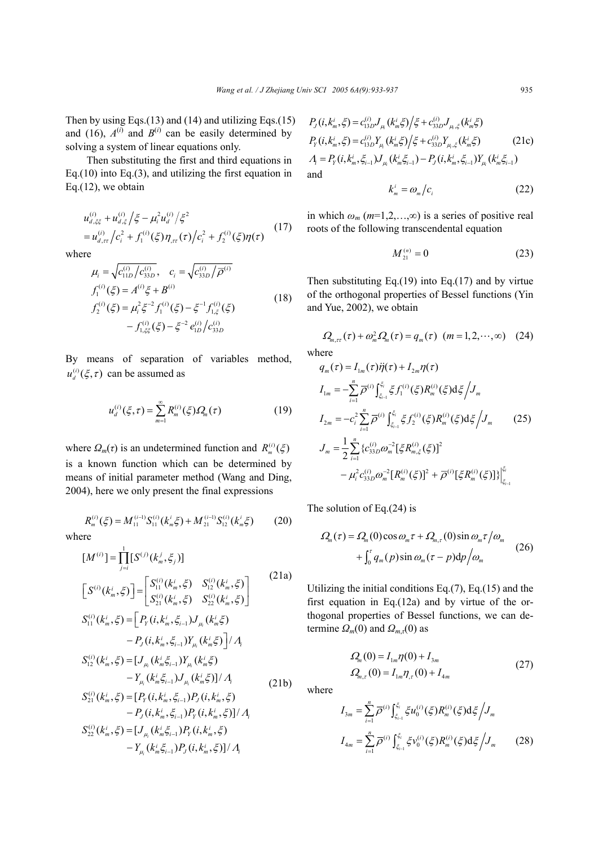Then by using Eqs. $(13)$  and  $(14)$  and utilizing Eqs. $(15)$ and (16),  $A^{(i)}$  and  $B^{(i)}$  can be easily determined by solving a system of linear equations only.

Then substituting the first and third equations in Eq.(10) into Eq.(3), and utilizing the first equation in Eq.(12), we obtain

$$
u_{d,\xi\xi}^{(i)} + u_{d,\xi}^{(i)} / \xi - \mu_i^2 u_d^{(i)} / \xi^2
$$
  
= 
$$
u_{d,\tau\tau}^{(i)} / c_i^2 + f_1^{(i)} (\xi) \eta_{,\tau\tau}(\tau) / c_i^2 + f_2^{(i)} (\xi) \eta(\tau)
$$
 (17)

where

$$
\mu_{i} = \sqrt{c_{11D}^{(i)}/c_{33D}^{(i)}}, \quad c_{i} = \sqrt{c_{33D}^{(i)}/\overline{\rho}^{(i)}}
$$
\n
$$
f_{1}^{(i)}(\xi) = A^{(i)}\xi + B^{(i)}
$$
\n
$$
f_{2}^{(i)}(\xi) = \mu_{i}^{2}\xi^{-2}f_{1}^{(i)}(\xi) - \xi^{-1}f_{1,\xi}^{(i)}(\xi)
$$
\n
$$
-f_{1,\xi\xi}^{(i)}(\xi) - \xi^{-2}e_{1D}^{(i)}/c_{33D}^{(i)}
$$
\n(18)

By means of separation of variables method,  $u_d^{(i)}(\xi, \tau)$  can be assumed as

$$
u_d^{(i)}(\xi,\tau) = \sum_{m=1}^{\infty} R_m^{(i)}(\xi) Q_m(\tau)
$$
 (19)

where  $\Omega_m(\tau)$  is an undetermined function and  $R_m^{(i)}(\xi)$ is a known function which can be determined by means of initial parameter method (Wang and Ding, 2004), here we only present the final expressions

$$
R_m^{(i)}(\xi) = M_{11}^{(i-1)} S_{11}^{(i)}(k_m^i \xi) + M_{21}^{(i-1)} S_{12}^{(i)}(k_m^i \xi)
$$
 (20)

where

$$
[M^{(i)}] = \prod_{j=i}^{1} [S^{(j)}(k_m^j, \xi_j)]
$$
  
\n
$$
[S^{(i)}(k_m^i, \xi)] = \begin{bmatrix} S_{11}^{(i)}(k_m^i, \xi) & S_{12}^{(i)}(k_m^i, \xi) \\ S_{21}^{(i)}(k_m^i, \xi) & S_{22}^{(i)}(k_m^i, \xi) \end{bmatrix}
$$
  
\n
$$
S_{11}^{(i)}(k_m^i, \xi) = [P_Y(i, k_m^i, \xi_{i-1})J_{\mu_i}(k_m^i \xi) - P_J(i, k_m^i, \xi_{i-1})Y_{\mu_i}(k_m^i \xi)]/A_i
$$
  
\n
$$
S_{12}^{(i)}(k_m^i, \xi) = [J_{\mu_i}(k_m^i, \xi_{i-1})Y_{\mu_i}(k_m^i, \xi) - Y_{\mu_i}(k_m^i, \xi)]/A_i
$$
  
\n
$$
S_{21}^{(i)}(k_m^i, \xi) = [P_Y(i, k_m^i, \xi_{i-1})P_J(i, k_m^i, \xi) - P_J(i, k_m^i, \xi)]/A_i
$$
  
\n
$$
S_{22}^{(i)}(k_m^i, \xi) = [L_{\mu_i}(k_m^i, \xi_{i-1})P_Y(i, k_m^i, \xi)]/A_i
$$
  
\n
$$
S_{22}^{(i)}(k_m^i, \xi) = [J_{\mu_i}(k_m^i, \xi_{i-1})P_Y(i, k_m^i, \xi)]/A_i
$$
  
\n
$$
S_{22}^{(i)}(k_m^i, \xi) = [J_{\mu_i}(k_m^i, \xi_{i-1})P_Y(i, k_m^i, \xi)]/A_i
$$

$$
P_{J}(i,k_{m}^{i},\xi) = c_{13D}^{(i)}J_{\mu_{i}}(k_{m}^{i}\xi)/\xi + c_{33D}^{(i)}J_{\mu_{i},\xi}(k_{m}^{i}\xi)
$$
  
\n
$$
P_{Y}(i,k_{m}^{i},\xi) = c_{13D}^{(i)}Y_{\mu_{i}}(k_{m}^{i}\xi)/\xi + c_{33D}^{(i)}Y_{\mu_{i},\xi}(k_{m}^{i}\xi)
$$
(21c)

 $A_i = P_Y(i, k_m^i, \xi_{i-1}) J_{\mu_i}(k_m^i \xi_{i-1}) - P_J(i, k_m^i, \xi_{i-1}) Y_{\mu_i}(k_m^i \xi_{i-1})$ and

$$
k_m^i = \omega_m/c_i \tag{22}
$$

in which  $\omega_m$  ( $m=1,2,...,\infty$ ) is a series of positive real roots of the following transcendental equation

$$
M_{21}^{(n)} = 0 \tag{23}
$$

Then substituting Eq.(19) into Eq.(17) and by virtue of the orthogonal properties of Bessel functions (Yin and Yue, 2002), we obtain

$$
\varOmega_{m,\tau\tau}(\tau) + \omega_m^2 \varOmega_m(\tau) = q_m(\tau) \ \ (m = 1, 2, \cdots, \infty) \ \ (24)
$$

where

$$
q_{m}(\tau) = I_{1m}(\tau)\ddot{\eta}(\tau) + I_{2m}\eta(\tau)
$$
  
\n
$$
I_{1m} = -\sum_{i=1}^{n} \overline{\rho}^{(i)} \int_{\xi_{i-1}}^{\xi_{i}} \xi f_{1}^{(i)}(\xi) R_{m}^{(i)}(\xi) d\xi / J_{m}
$$
  
\n
$$
I_{2m} = -c_{i}^{2} \sum_{i=1}^{n} \overline{\rho}^{(i)} \int_{\xi_{i-1}}^{\xi_{i}} \xi f_{2}^{(i)}(\xi) R_{m}^{(i)}(\xi) d\xi / J_{m}
$$
(25)  
\n
$$
J_{m} = \frac{1}{2} \sum_{i=1}^{n} \{c_{32D}^{(i)} \omega_{m}^{-2} [\xi R_{m,\xi}^{(i)}(\xi)]^{2} - \mu_{i}^{2} c_{33D}^{(i)} \omega_{m}^{-2} [R_{m}^{(i)}(\xi)]^{2} + \overline{\rho}^{(i)} [\xi R_{m}^{(i)}(\xi)]\}\Big|_{\xi_{i-1}}^{\xi_{i}}
$$

The solution of Eq.(24) is

$$
\mathcal{Q}_m(\tau) = \mathcal{Q}_m(0) \cos \omega_m \tau + \mathcal{Q}_{m,\tau}(0) \sin \omega_m \tau / \omega_m
$$
  
+ 
$$
\int_0^{\tau} q_m(p) \sin \omega_m(\tau - p) dp / \omega_m
$$
 (26)

Utilizing the initial conditions Eq.(7), Eq.(15) and the first equation in Eq.(12a) and by virtue of the orthogonal properties of Bessel functions, we can determine  $\Omega_m(0)$  and  $\Omega_{m,\tau}(0)$  as

$$
\Omega_m(0) = I_{1m}\eta(0) + I_{3m}
$$
  
\n
$$
\Omega_{m,\tau}(0) = I_{1m}\eta_{,\tau}(0) + I_{4m}
$$
\n(27)

where

$$
I_{3m} = \sum_{i=1}^{n} \overline{\rho}^{(i)} \int_{\xi_{i-1}}^{\xi_i} \xi u_0^{(i)}(\xi) R_m^{(i)}(\xi) d\xi / J_m
$$
  

$$
I_{4m} = \sum_{i=1}^{n} \overline{\rho}^{(i)} \int_{\xi_{i-1}}^{\xi_i} \xi v_0^{(i)}(\xi) R_m^{(i)}(\xi) d\xi / J_m
$$
 (28)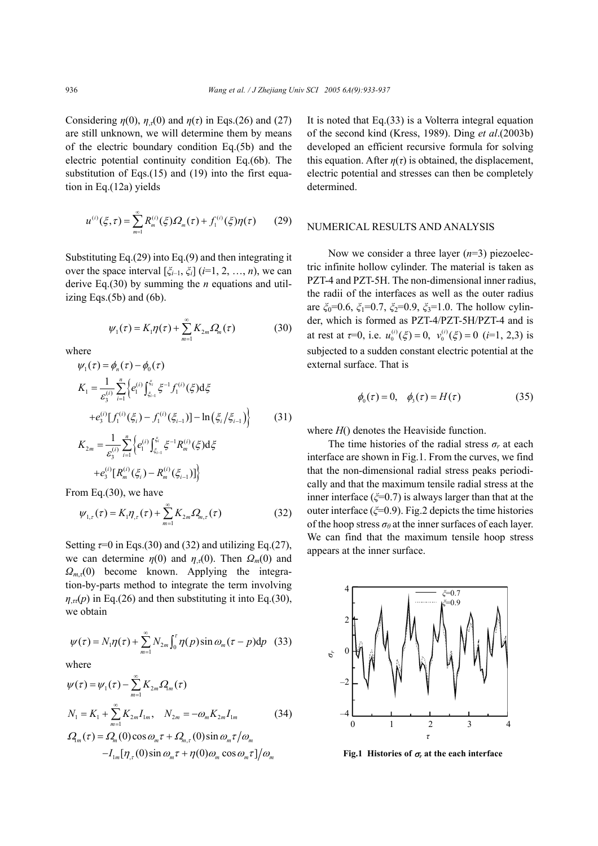Considering  $\eta(0)$ ,  $\eta_{\tau}(0)$  and  $\eta(\tau)$  in Eqs.(26) and (27) are still unknown, we will determine them by means of the electric boundary condition Eq.(5b) and the electric potential continuity condition Eq.(6b). The substitution of Eqs.(15) and (19) into the first equation in Eq.(12a) yields

$$
u^{(i)}(\xi,\tau) = \sum_{m=1}^{\infty} R_m^{(i)}(\xi)\Omega_m(\tau) + f_1^{(i)}(\xi)\eta(\tau) \qquad (29)
$$

Substituting Eq.(29) into Eq.(9) and then integrating it over the space interval  $[\xi_{i-1}, \xi_i]$  ( $i=1, 2, ..., n$ ), we can derive Eq.(30) by summing the *n* equations and utilizing Eqs.(5b) and (6b).

$$
\psi_1(\tau) = K_1 \eta(\tau) + \sum_{m=1}^{\infty} K_{2m} \Omega_m(\tau) \tag{30}
$$

where

$$
\psi_{1}(\tau) = \phi_{n}(\tau) - \phi_{0}(\tau)
$$
\n
$$
K_{1} = \frac{1}{\varepsilon_{3}^{(i)}} \sum_{i=1}^{n} \left\{ e_{1}^{(i)} \int_{\xi_{i-1}}^{\xi_{i}} \xi^{-1} f_{1}^{(i)}(\xi) d\xi + e_{3}^{(i)} [f_{1}^{(i)}(\xi_{i}) - f_{1}^{(i)}(\xi_{i-1})] - \ln(\xi_{i}/\xi_{i-1}) \right\}
$$
\n
$$
(31)
$$
\n
$$
K_{2m} = \frac{1}{\varepsilon_{3}^{(i)}} \sum_{i=1}^{n} \left\{ e_{1}^{(i)} \int_{\xi_{i-1}}^{\xi_{i}} \xi^{-1} R_{m}^{(i)}(\xi) d\xi \right\}
$$

$$
K_{2m} = \frac{1}{\varepsilon_3^{(i)}} \sum_{i=1}^{n} \left\{ e_1^{(i)} \int_{\xi_{i-1}}^{\xi_i} \xi^{-1} R_m^{(i)}(\xi) d\xi \right\}
$$

$$
+ e_3^{(i)} \left[ R_m^{(i)}(\xi_i) - R_m^{(i)}(\xi_{i-1}) \right] \right\}
$$

From Eq.(30), we have

$$
\psi_{1,\tau}(\tau) = K_1 \eta_{,\tau}(\tau) + \sum_{m=1}^{\infty} K_{2m} \Omega_{m,\tau}(\tau)
$$
 (32)

Setting  $\tau=0$  in Eqs.(30) and (32) and utilizing Eq.(27), we can determine  $\eta(0)$  and  $\eta_{\tau}(0)$ . Then  $\Omega_m(0)$  and *Ωm*,*τ*(0) become known. Applying the integration-by-parts method to integrate the term involving  $\eta_{\tau}(\rho)$  in Eq.(26) and then substituting it into Eq.(30), we obtain

$$
\psi(\tau) = N_1 \eta(\tau) + \sum_{m=1}^{\infty} N_{2m} \int_0^{\tau} \eta(p) \sin \omega_m(\tau - p) dp \quad (33)
$$

where

$$
\psi(\tau) = \psi_1(\tau) - \sum_{m=1}^{\infty} K_{2m} \Omega_m(\tau)
$$
  
\n
$$
N_1 = K_1 + \sum_{m=1}^{\infty} K_{2m} I_{1m}, \quad N_{2m} = -\omega_m K_{2m} I_{1m}
$$
 (34)  
\n
$$
\Omega_m(\tau) = \Omega_m(0) \cos \omega_m \tau + \Omega_{m,\tau}(0) \sin \omega_m \tau / \omega_m
$$
  
\n
$$
-I_{1m}[\eta_{,\tau}(0) \sin \omega_m \tau + \eta(0) \omega_m \cos \omega_m \tau] / \omega_m
$$

It is noted that Eq.(33) is a Volterra integral equation of the second kind (Kress, 1989). Ding *et al*.(2003b) developed an efficient recursive formula for solving this equation. After  $n(\tau)$  is obtained, the displacement, electric potential and stresses can then be completely determined.

### NUMERICAL RESULTS AND ANALYSIS

Now we consider a three layer (*n*=3) piezoelectric infinite hollow cylinder. The material is taken as PZT-4 and PZT-5H. The non-dimensional inner radius, the radii of the interfaces as well as the outer radius are *ξ*0=0.6, *ξ*1=0.7, *ξ*2=0.9, *ξ*3=1.0. The hollow cylinder, which is formed as PZT-4/PZT-5H/PZT-4 and is at rest at  $\tau=0$ , i.e.  $u_0^{(i)}(\xi)=0$ ,  $v_0^{(i)}(\xi)=0$  (*i*=1, 2,3) is subjected to a sudden constant electric potential at the external surface. That is

$$
\phi_0(\tau) = 0, \quad \phi_3(\tau) = H(\tau) \tag{35}
$$

where  $H()$  denotes the Heaviside function.

The time histories of the radial stress  $\sigma_r$  at each interface are shown in Fig.1. From the curves, we find that the non-dimensional radial stress peaks periodically and that the maximum tensile radial stress at the inner interface (*ξ*=0.7) is always larger than that at the outer interface (*ξ*=0.9). Fig.2 depicts the time histories of the hoop stress  $\sigma_{\theta}$  at the inner surfaces of each layer. We can find that the maximum tensile hoop stress appears at the inner surface.



**Fig.1** Histories of  $\sigma_r$  at the each interface